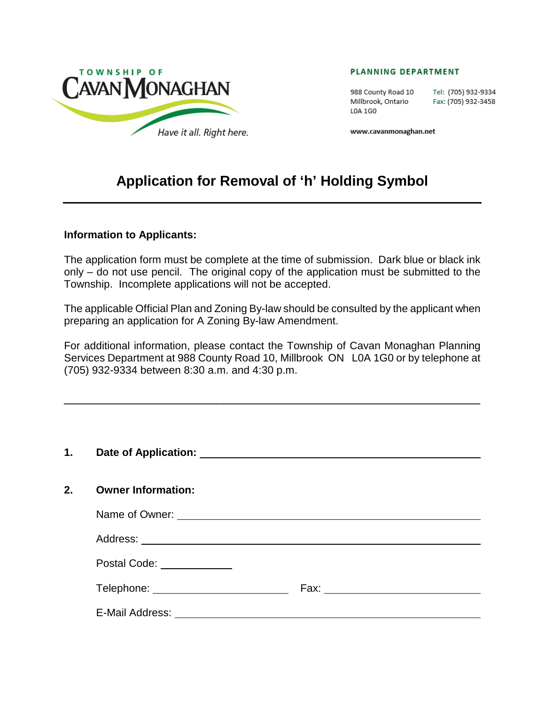

#### PLANNING DEPARTMENT

988 County Road 10 Tel: (705) 932-9334 Millbrook, Ontario Fax: (705) 932-3458 L0A 1G0

www.cavanmonaghan.net

# **Application for Removal of 'h' Holding Symbol**

#### **Information to Applicants:**

The application form must be complete at the time of submission. Dark blue or black ink only – do not use pencil. The original copy of the application must be submitted to the Township. Incomplete applications will not be accepted.

The applicable Official Plan and Zoning By-law should be consulted by the applicant when preparing an application for A Zoning By-law Amendment.

For additional information, please contact the Township of Cavan Monaghan Planning Services Department at 988 County Road 10, Millbrook ON L0A 1G0 or by telephone at (705) 932-9334 between 8:30 a.m. and 4:30 p.m.

\_\_\_\_\_\_\_\_\_\_\_\_\_\_\_\_\_\_\_\_\_\_\_\_\_\_\_\_\_\_\_\_\_\_\_\_\_\_\_\_\_\_\_\_\_\_\_\_\_\_\_\_\_\_\_\_\_\_\_\_

#### **1. Date of Application:**

### **2. Owner Information:**

| Name of Owner: _<br><u> 1989 - Andrea Aontaithe ann an t-Aontaithe ann an t-Aontaithe ann an t-Aontaithe ann an t-Aontaithe ann an t-Aon</u> |      |
|----------------------------------------------------------------------------------------------------------------------------------------------|------|
| Address: _________________________________                                                                                                   |      |
| Postal Code: _____________                                                                                                                   |      |
| Telephone: _____________________                                                                                                             | Fax: |
| E-Mail Address:                                                                                                                              |      |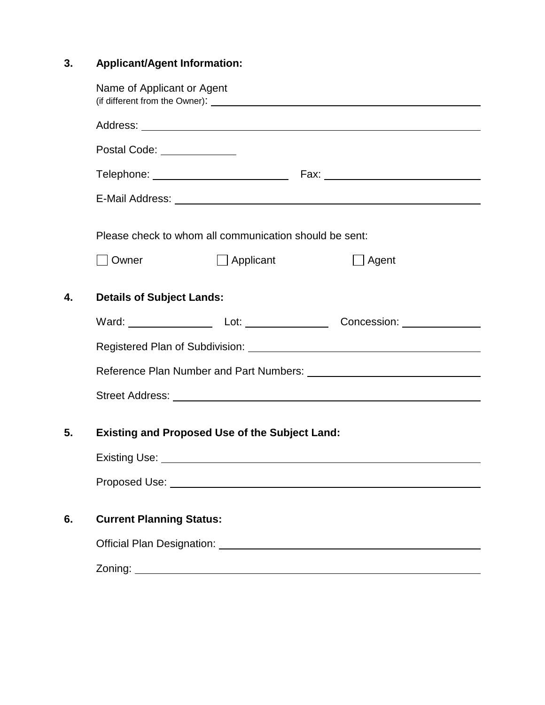# **3. Applicant/Agent Information:**

|    | Name of Applicant or Agent                             |                  |  |              |  |  |
|----|--------------------------------------------------------|------------------|--|--------------|--|--|
|    |                                                        |                  |  |              |  |  |
|    | Postal Code: ______________                            |                  |  |              |  |  |
|    |                                                        |                  |  |              |  |  |
|    |                                                        |                  |  |              |  |  |
|    | Please check to whom all communication should be sent: |                  |  |              |  |  |
|    | Owner                                                  | $\Box$ Applicant |  | $\Box$ Agent |  |  |
| 4. | <b>Details of Subject Lands:</b>                       |                  |  |              |  |  |
|    | Ward: Vard: Lot: Lot: Concession: Vard:                |                  |  |              |  |  |
|    |                                                        |                  |  |              |  |  |
|    |                                                        |                  |  |              |  |  |
|    |                                                        |                  |  |              |  |  |
| 5. | <b>Existing and Proposed Use of the Subject Land:</b>  |                  |  |              |  |  |
|    |                                                        |                  |  |              |  |  |
|    |                                                        |                  |  |              |  |  |
| 6. | <b>Current Planning Status:</b>                        |                  |  |              |  |  |
|    |                                                        |                  |  |              |  |  |
|    |                                                        |                  |  |              |  |  |